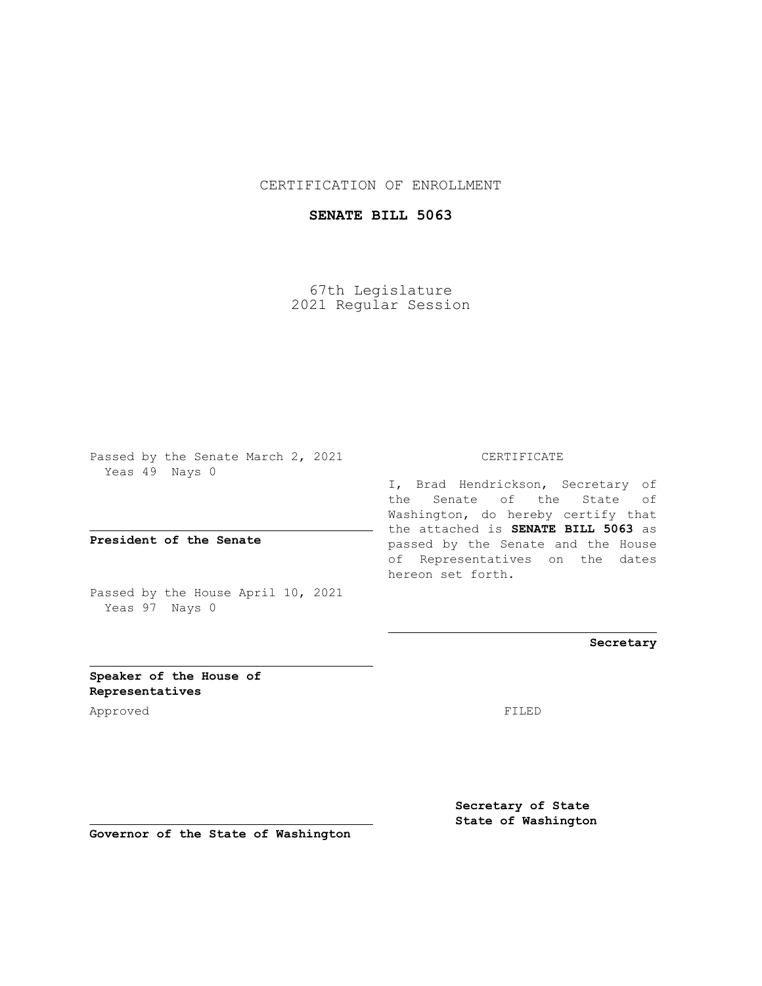## CERTIFICATION OF ENROLLMENT

## **SENATE BILL 5063**

67th Legislature 2021 Regular Session

Passed by the Senate March 2, 2021 Yeas 49 Nays 0

**President of the Senate**

Passed by the House April 10, 2021 Yeas 97 Nays 0

CERTIFICATE

I, Brad Hendrickson, Secretary of the Senate of the State of Washington, do hereby certify that the attached is **SENATE BILL 5063** as passed by the Senate and the House of Representatives on the dates hereon set forth.

**Secretary**

**Speaker of the House of Representatives**

Approved FILED

**Secretary of State State of Washington**

**Governor of the State of Washington**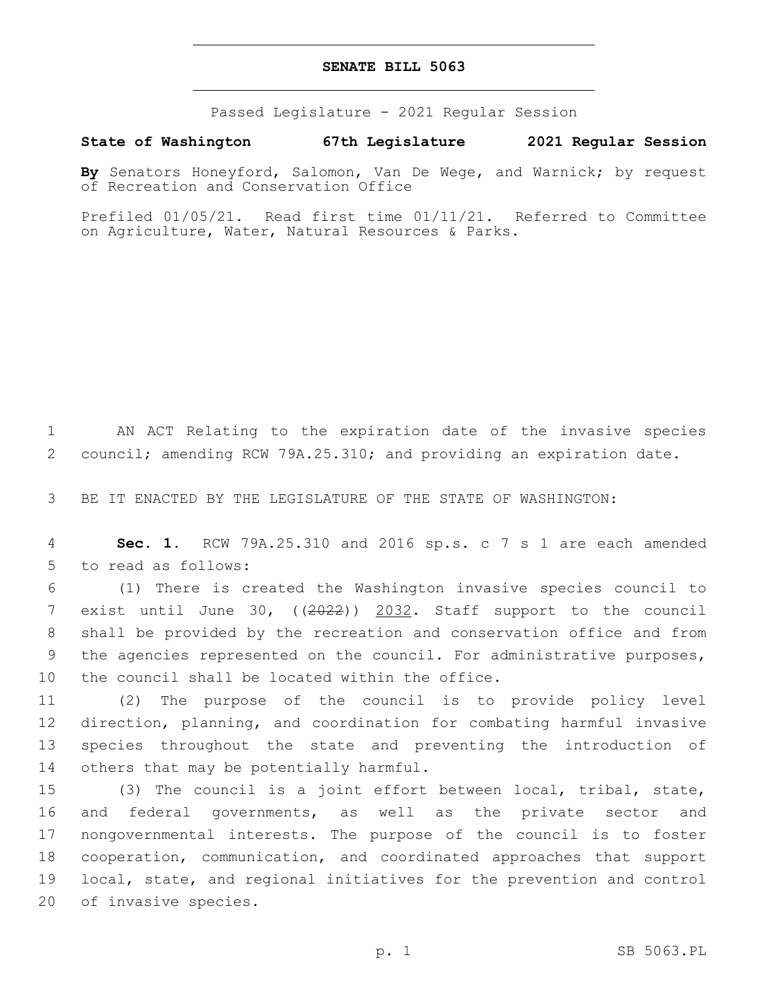## **SENATE BILL 5063**

Passed Legislature - 2021 Regular Session

**State of Washington 67th Legislature 2021 Regular Session**

**By** Senators Honeyford, Salomon, Van De Wege, and Warnick; by request of Recreation and Conservation Office

Prefiled 01/05/21. Read first time 01/11/21. Referred to Committee on Agriculture, Water, Natural Resources & Parks.

1 AN ACT Relating to the expiration date of the invasive species 2 council; amending RCW 79A.25.310; and providing an expiration date.

3 BE IT ENACTED BY THE LEGISLATURE OF THE STATE OF WASHINGTON:

4 **Sec. 1.** RCW 79A.25.310 and 2016 sp.s. c 7 s 1 are each amended 5 to read as follows:

 (1) There is created the Washington invasive species council to exist until June 30, ((2022)) 2032. Staff support to the council shall be provided by the recreation and conservation office and from the agencies represented on the council. For administrative purposes, 10 the council shall be located within the office.

 (2) The purpose of the council is to provide policy level direction, planning, and coordination for combating harmful invasive species throughout the state and preventing the introduction of 14 others that may be potentially harmful.

 (3) The council is a joint effort between local, tribal, state, and federal governments, as well as the private sector and nongovernmental interests. The purpose of the council is to foster cooperation, communication, and coordinated approaches that support local, state, and regional initiatives for the prevention and control 20 of invasive species.